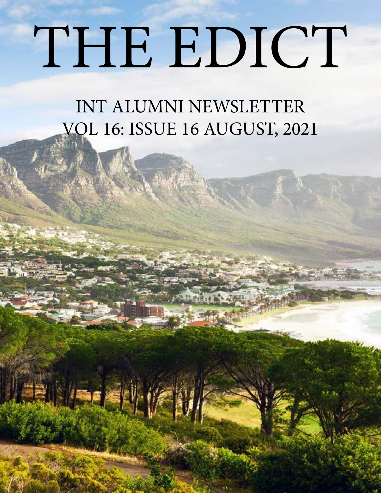# THE EDICT

INT ALUMNI NEWSLETTER VOL 16: ISSUE 16 AUGUST, 2021

LE LIFE SIN VER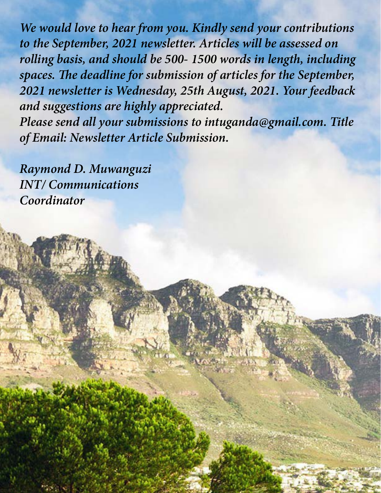*We would love to hear from you. Kindly send your contributions to the September, 2021 newsletter. Articles will be assessed on rolling basis, and should be 500- 1500 words in length, including spaces. The deadline for submission of articles for the September, 2021 newsletter is Wednesday, 25th August, 2021. Your feedback and suggestions are highly appreciated.*

*Please send all your submissions to intuganda@gmail.com. Title of Email: Newsletter Article Submission.*

*Raymond D. Muwanguzi INT/ Communications Coordinator*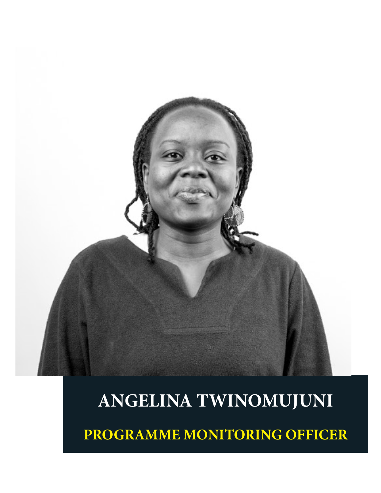

# **ANGELINA TWINOMUJUNI**

**PROGRAMME MONITORING OFFICER**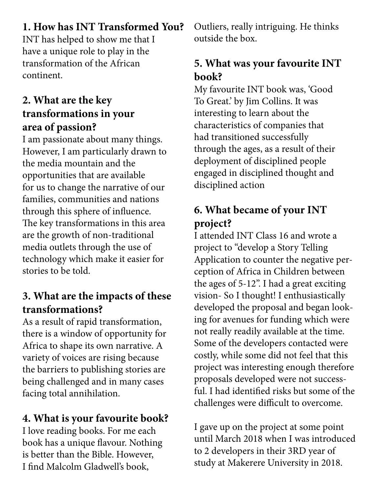#### **1. How has INT Transformed You?**

INT has helped to show me that I have a unique role to play in the transformation of the African continent.

#### **2. What are the key transformations in your area of passion?**

I am passionate about many things. However, I am particularly drawn to the media mountain and the opportunities that are available for us to change the narrative of our families, communities and nations through this sphere of influence. The key transformations in this area are the growth of non-traditional media outlets through the use of technology which make it easier for stories to be told.

#### **3. What are the impacts of these transformations?**

As a result of rapid transformation, there is a window of opportunity for Africa to shape its own narrative. A variety of voices are rising because the barriers to publishing stories are being challenged and in many cases facing total annihilation.

## **4. What is your favourite book?**

I love reading books. For me each book has a unique flavour. Nothing is better than the Bible. However, I find Malcolm Gladwell's book,

Outliers, really intriguing. He thinks outside the box.

### **5. What was your favourite INT book?**

My favourite INT book was, 'Good To Great.' by Jim Collins. It was interesting to learn about the characteristics of companies that had transitioned successfully through the ages, as a result of their deployment of disciplined people engaged in disciplined thought and disciplined action

### **6. What became of your INT project?**

I attended INT Class 16 and wrote a project to "develop a Story Telling Application to counter the negative perception of Africa in Children between the ages of 5-12". I had a great exciting vision- So I thought! I enthusiastically developed the proposal and began looking for avenues for funding which were not really readily available at the time. Some of the developers contacted were costly, while some did not feel that this project was interesting enough therefore proposals developed were not successful. I had identified risks but some of the challenges were difficult to overcome.

I gave up on the project at some point until March 2018 when I was introduced to 2 developers in their 3RD year of study at Makerere University in 2018.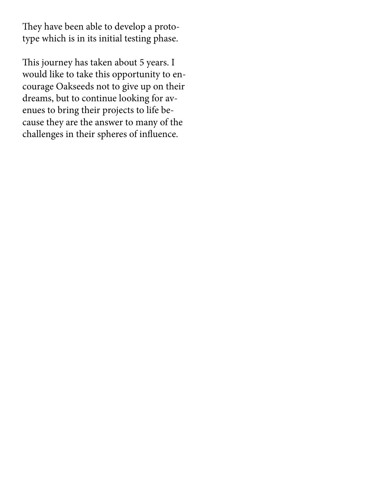They have been able to develop a prototype which is in its initial testing phase.

This journey has taken about 5 years. I would like to take this opportunity to encourage Oakseeds not to give up on their dreams, but to continue looking for avenues to bring their projects to life because they are the answer to many of the challenges in their spheres of influence.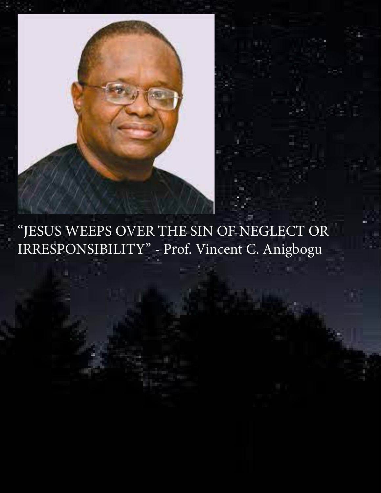

"JESUS WEEPS OVER THE SIN OF NEGLECT OR IRRESPONSIBILITY" - Prof. Vincent C. Anigbogu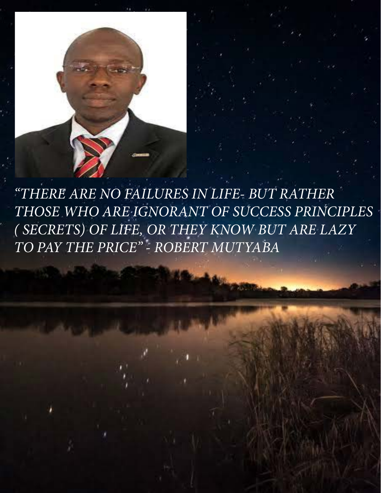*"THERE ARE NO FAILURES IN LIFE- BUT RATHER THOSE WHO ARE IGNORANT OF SUCCESS PRINCIPLES ( SECRETS) OF LIFE, OR THEY KNOW BUT ARE LAZY TO PAY THE PRICE" - ROBERT MUTYABA*